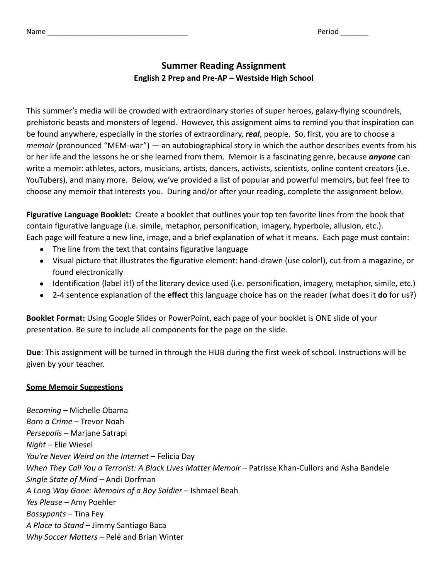Name example and the contract of the contract of the contract of the Period \_\_\_\_\_\_\_\_\_\_

## **Summer Reading Assignment English 2 Prep and Pre-AP – Westside High School**

This summer's media will be crowded with extraordinary stories of super heroes, galaxy-flying scoundrels, prehistoric beasts and monsters of legend. However, this assignment aims to remind you that inspiration can be found anywhere, especially in the stories of extraordinary, *real*, people. So, first, you are to choose a *memoir* (pronounced "MEM-war") — an autobiographical story in which the author describes events from his or her life and the lessons he or she learned from them. Memoir is a fascinating genre, because *anyone* can write a memoir: athletes, actors, musicians, artists, dancers, activists, scientists, online content creators (i.e. YouTubers), and many more. Below, we've provided a list of popular and powerful memoirs, but feel free to choose any memoir that interests you. During and/or after your reading, complete the assignment below.

**Figurative Language Booklet:** Create a booklet that outlines your top ten favorite lines from the book that contain figurative language (i.e. simile, metaphor, personification, imagery, hyperbole, allusion, etc.). Each page will feature a new line, image, and a brief explanation of what it means. Each page must contain:

- The line from the text that contains figurative language
- Visual picture that illustrates the figurative element: hand-drawn (use color!), cut from a magazine, or found electronically
- Identification (label it!) of the literary device used (i.e. personification, imagery, metaphor, simile, etc.)
- 2-4 sentence explanation of the **effect** this language choice has on the reader (what does it **do** for us?)

**Booklet Format:** Using Google Slides or PowerPoint, each page of your booklet is ONE slide of your presentation. Be sure to include all components for the page on the slide.

**Due**: This assignment will be turned in through the HUB during the first week of school. Instructions will be given by your teacher.

## **Some Memoir Suggestions**

*Becoming* – Michelle Obama *Born a Crime* – Trevor Noah *Persepolis* – Marjane Satrapi *Night* – Elie Wiesel *You're Never Weird on the Internet* – Felicia Day *When They Call You a Terrorist: A Black Lives Matter Memoir* – Patrisse Khan-Cullors and Asha Bandele *Single State of Mind* – Andi Dorfman *A Long Way Gone: Memoirs of a Boy Soldier* – Ishmael Beah *Yes Please* – Amy Poehler *Bossypants* – Tina Fey *A Place to Stand* – Jimmy Santiago Baca *Why Soccer Matters* – Pelé and Brian Winter